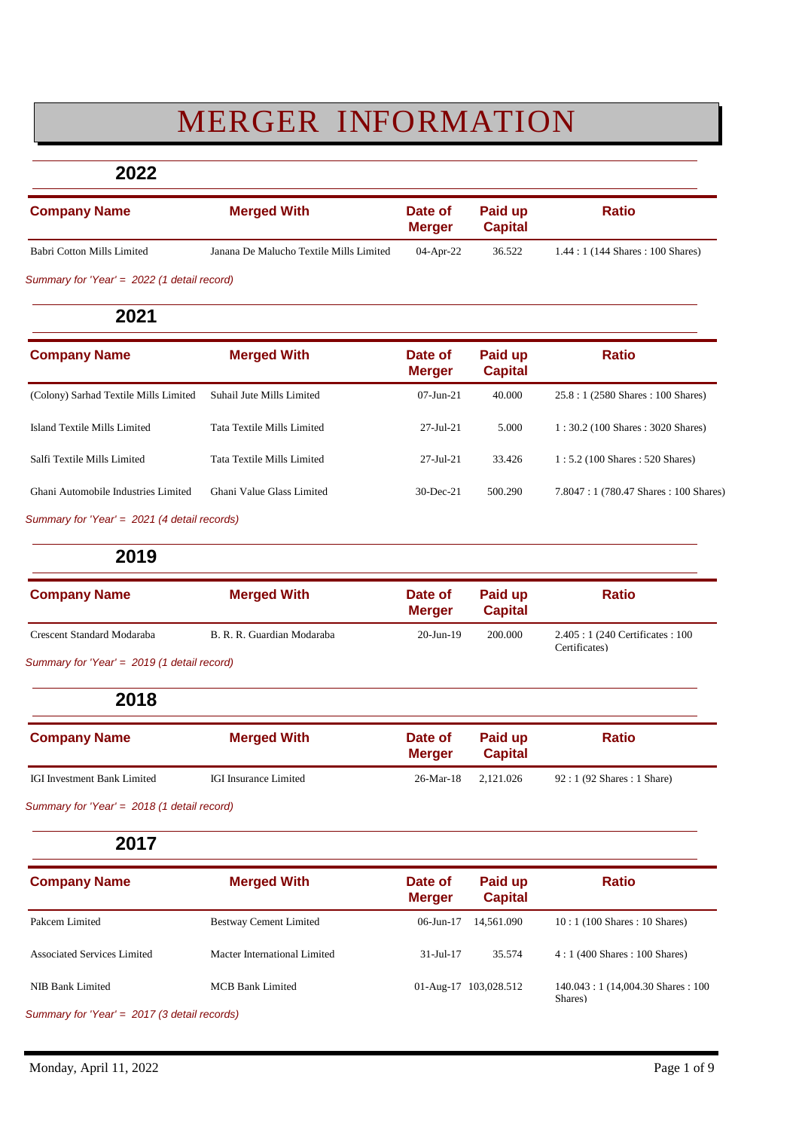# MERGER INFORMATION

**2022**

| <b>Company Name</b>                         | <b>Merged With</b>                      | Date of<br><b>Merger</b> | Paid up<br><b>Capital</b> | <b>Ratio</b>                                     |  |
|---------------------------------------------|-----------------------------------------|--------------------------|---------------------------|--------------------------------------------------|--|
| Babri Cotton Mills Limited                  | Janana De Malucho Textile Mills Limited | 04-Apr-22                | 36.522                    | $1.44:1(144 \text{ shares}: 100 \text{ shares})$ |  |
| Summary for 'Year' = 2022 (1 detail record) |                                         |                          |                           |                                                  |  |

**2021**

| <b>Company Name</b>                   | <b>Merged With</b>         | Date of<br><b>Merger</b> | Paid up<br><b>Capital</b> | <b>Ratio</b>                                      |
|---------------------------------------|----------------------------|--------------------------|---------------------------|---------------------------------------------------|
| (Colony) Sarhad Textile Mills Limited | Suhail Jute Mills Limited  | $07 - Jun - 21$          | 40.000                    | $25.8:1(2580 \text{ shares}: 100 \text{ shares})$ |
| Island Textile Mills Limited          | Tata Textile Mills Limited | $27 - \text{Jul} - 21$   | 5.000                     | $1:30.2(100 \text{ shares}:3020 \text{ shares})$  |
| Salfi Textile Mills Limited           | Tata Textile Mills Limited | $27 -$ Jul-21            | 33.426                    | $1:5.2(100 \text{ shares}: 520 \text{ shares})$   |
| Ghani Automobile Industries Limited   | Ghani Value Glass Limited  | $30$ -Dec-21             | 500.290                   | 7.8047: 1 (780.47 Shares: 100 Shares)             |

*Summary for 'Year' = 2021 (4 detail records)*

**2019**

| <b>Company Name</b>        | <b>Merged With</b>         | Date of<br><b>Merger</b> | Paid up<br><b>Capital</b> | <b>Ratio</b>                                       |
|----------------------------|----------------------------|--------------------------|---------------------------|----------------------------------------------------|
| Crescent Standard Modaraba | B. R. R. Guardian Modaraba | $20 - Jun - 19$          | 200,000                   | 2.405 : 1 (240 Certificates : 100<br>Certificates) |

*Summary for 'Year' = 2019 (1 detail record)*

**2018**

| <b>Company Name</b>         | <b>Merged With</b>           | Date of<br>Meraer | Paid up<br><b>Capital</b> | <b>Ratio</b>                             |
|-----------------------------|------------------------------|-------------------|---------------------------|------------------------------------------|
| IGI Investment Bank Limited | <b>IGI</b> Insurance Limited | $26$ -Mar-18      | 2.121.026                 | $92:1(92 \text{ shares}:1 \text{Share})$ |

*Summary for 'Year' = 2018 (1 detail record)*

**2017**

| <b>Company Name</b>                | <b>Merged With</b>            | Date of<br><b>Merger</b> | Paid up<br><b>Capital</b> | <b>Ratio</b>                                    |
|------------------------------------|-------------------------------|--------------------------|---------------------------|-------------------------------------------------|
| Pakcem Limited                     | <b>Bestway Cement Limited</b> | $06$ -Jun-17             | 14.561.090                | $10:1(100 \text{ shares}:10 \text{ shares})$    |
| <b>Associated Services Limited</b> | Macter International Limited  | $31 - \text{Jul} - 17$   | 35.574                    | $4:1(400 \text{ shares}: 100 \text{ shares})$   |
| NIB Bank Limited                   | <b>MCB Bank Limited</b>       |                          | 01-Aug-17 103,028.512     | 140.043 : 1 (14,004.30 Shares : 100)<br>Shares) |

*Summary for 'Year' = 2017 (3 detail records)*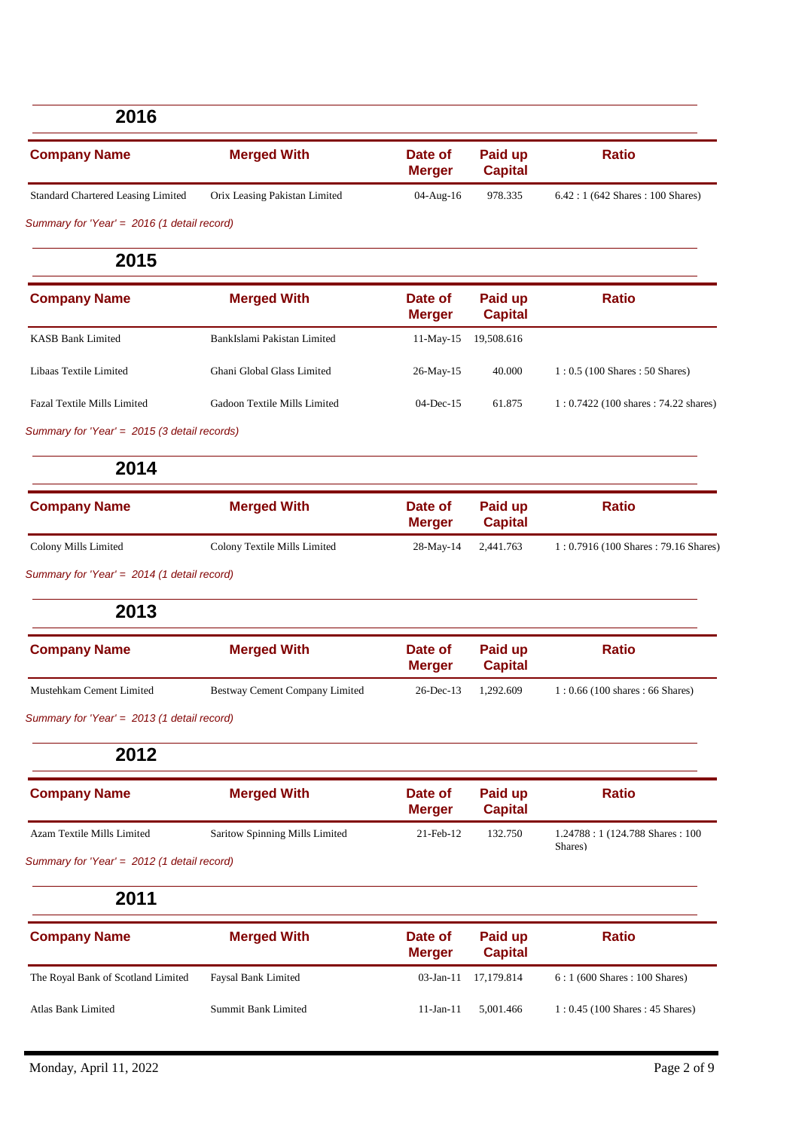| <b>Company Name</b>                       | <b>Merged With</b>            | Date of<br><b>Merger</b> | Paid up<br><b>Capital</b> | <b>Ratio</b>                                     |
|-------------------------------------------|-------------------------------|--------------------------|---------------------------|--------------------------------------------------|
| <b>Standard Chartered Leasing Limited</b> | Orix Leasing Pakistan Limited | 04-Aug-16                | 978.335                   | $6.42:1(642 \text{ shares}: 100 \text{ shares})$ |

*Summary for 'Year' = 2016 (1 detail record)*

| <b>Merged With</b><br>BankIslami Pakistan Limited | Date of<br><b>Merger</b><br>$11-May-15$ | Paid up<br><b>Capital</b><br>19,508.616 | <b>Ratio</b>                            |
|---------------------------------------------------|-----------------------------------------|-----------------------------------------|-----------------------------------------|
|                                                   |                                         |                                         |                                         |
|                                                   |                                         |                                         |                                         |
| Ghani Global Glass Limited                        | $26$ -May-15                            | 40.000                                  | $1: 0.5$ (100 Shares: 50 Shares)        |
| Gadoon Textile Mills Limited                      | $04$ -Dec-15                            | 61.875                                  | $1: 0.7422$ (100 shares : 74.22 shares) |
|                                                   |                                         |                                         |                                         |

| 2014                 |                              |                          |                           |                                                         |
|----------------------|------------------------------|--------------------------|---------------------------|---------------------------------------------------------|
| <b>Company Name</b>  | <b>Merged With</b>           | Date of<br><b>Merger</b> | Paid up<br><b>Capital</b> | <b>Ratio</b>                                            |
| Colony Mills Limited | Colony Textile Mills Limited | $28-May-14$              | 2,441.763                 | $1: 0.7916 (100 \text{ shares} : 79.16 \text{ shares})$ |

*Summary for 'Year' = 2014 (1 detail record)*

```
2013
```

| <b>Company Name</b>                         | <b>Merged With</b>             | Date of<br>Meraer | Paid up<br><b>Capital</b> | <b>Ratio</b>                       |  |
|---------------------------------------------|--------------------------------|-------------------|---------------------------|------------------------------------|--|
| Mustehkam Cement Limited                    | Bestway Cement Company Limited | 26-Dec-13         | 1.292.609                 | $1: 0.66$ (100 shares : 66 Shares) |  |
| Summary for 'Year' = 2013 (1 detail record) |                                |                   |                           |                                    |  |

**2012**

| <b>Company Name</b>        | <b>Merged With</b>             | Date of<br>Meraer | Paid up<br><b>Capital</b> | <b>Ratio</b>                                  |
|----------------------------|--------------------------------|-------------------|---------------------------|-----------------------------------------------|
| Azam Textile Mills Limited | Saritow Spinning Mills Limited | $21$ -Feb-12      | 132.750                   | 1.24788 : 1 (124.788 Shares : 100)<br>Shares) |

*Summary for 'Year' = 2012 (1 detail record)*

| 2011                               |                            |                          |                           |                                              |
|------------------------------------|----------------------------|--------------------------|---------------------------|----------------------------------------------|
| <b>Company Name</b>                | <b>Merged With</b>         | Date of<br><b>Merger</b> | Paid up<br><b>Capital</b> | <b>Ratio</b>                                 |
| The Royal Bank of Scotland Limited | <b>Faysal Bank Limited</b> | $03$ -Jan-11             | 17.179.814                | $6:1(600 \text{ shares}:100 \text{ shares})$ |
| Atlas Bank Limited                 | Summit Bank Limited        | $11 - Jan - 11$          | 5.001.466                 | $1: 0.45$ (100 Shares : 45 Shares)           |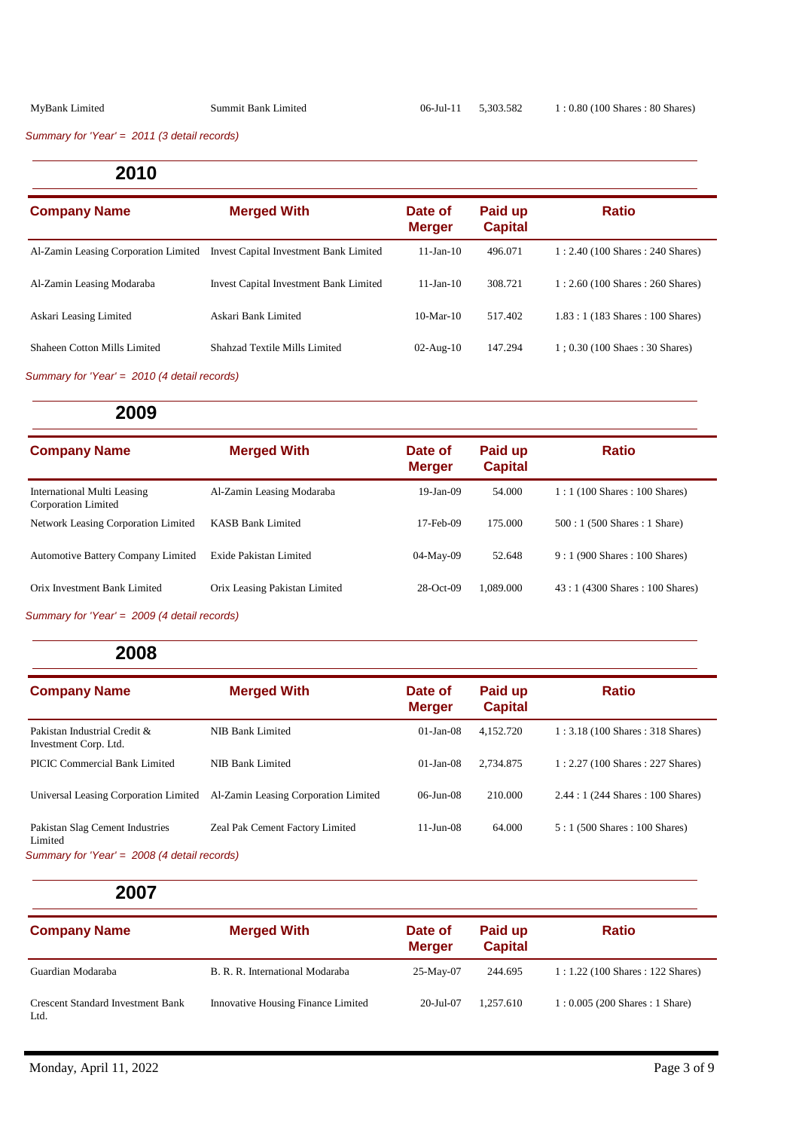*Summary for 'Year' = 2011 (3 detail records)*

**2010**

| <b>Company Name</b>                  | <b>Merged With</b>                            | Date of<br><b>Merger</b> | Paid up<br><b>Capital</b> | <b>Ratio</b>                                     |
|--------------------------------------|-----------------------------------------------|--------------------------|---------------------------|--------------------------------------------------|
| Al-Zamin Leasing Corporation Limited | <b>Invest Capital Investment Bank Limited</b> | $11 - Jan - 10$          | 496.071                   | $1: 2.40$ (100 Shares : 240 Shares)              |
| Al-Zamin Leasing Modaraba            | <b>Invest Capital Investment Bank Limited</b> | $11$ -Jan- $10$          | 308.721                   | $1:2.60(100 \text{ shares}: 260 \text{ shares})$ |
| Askari Leasing Limited               | Askari Bank Limited                           | $10-Mar-10$              | 517.402                   | $1.83:1(183 \text{ shares}: 100 \text{ shares})$ |
| Shaheen Cotton Mills Limited         | Shahzad Textile Mills Limited                 | $02$ -Aug- $10$          | 147.294                   | $1: 0.30(100 \text{ Shaes}: 30 \text{ Shares})$  |

*Summary for 'Year' = 2010 (4 detail records)*

#### **2009**

| <b>Company Name</b>                                | <b>Merged With</b>            | Date of         | Paid up        | <b>Ratio</b>                                    |
|----------------------------------------------------|-------------------------------|-----------------|----------------|-------------------------------------------------|
|                                                    |                               | <b>Merger</b>   | <b>Capital</b> |                                                 |
| International Multi Leasing<br>Corporation Limited | Al-Zamin Leasing Modaraba     | $19$ -Jan- $09$ | 54,000         | $1:1(100 \text{ shares}:100 \text{ shares})$    |
| Network Leasing Corporation Limited                | <b>KASB Bank Limited</b>      | 17-Feb-09       | 175.000        | $500:1(500 \text{ shares}:1 \text{Share})$      |
| <b>Automotive Battery Company Limited</b>          | Exide Pakistan Limited        | 04-May-09       | 52.648         | $9:1(900 \text{ shares}: 100 \text{ shares})$   |
| Orix Investment Bank Limited                       | Orix Leasing Pakistan Limited | 28-Oct-09       | 1.089.000      | $43:1(4300 \text{ shares}: 100 \text{ shares})$ |
|                                                    |                               |                 |                |                                                 |

*Summary for 'Year' = 2009 (4 detail records)*

### **2008**

| <b>Company Name</b>                                   | <b>Merged With</b>                   | Date of<br><b>Merger</b> | Paid up<br><b>Capital</b> | <b>Ratio</b>                                     |
|-------------------------------------------------------|--------------------------------------|--------------------------|---------------------------|--------------------------------------------------|
| Pakistan Industrial Credit &<br>Investment Corp. Ltd. | NIB Bank Limited                     | $01$ -Jan- $08$          | 4.152.720                 | $1:3.18(100 \text{ shares}:318 \text{ shares})$  |
| <b>PICIC Commercial Bank Limited</b>                  | NIB Bank Limited                     | $01$ -Jan-08             | 2.734.875                 | $1:2.27(100 \text{ shares}:227 \text{ shares})$  |
| Universal Leasing Corporation Limited                 | Al-Zamin Leasing Corporation Limited | $06 - Jun - 08$          | 210,000                   | $2.44:1(244 \text{ shares}: 100 \text{ shares})$ |
| Pakistan Slag Cement Industries<br>Limited            | Zeal Pak Cement Factory Limited      | $11 - Jun - 08$          | 64.000                    | $5:1(500 \text{ shares}: 100 \text{ shares})$    |
| Summary for 'Year' = 2008 (4 detail records)          |                                      |                          |                           |                                                  |

**2007**

| <b>Company Name</b>                              | <b>Merged With</b>                 | Date of<br><b>Merger</b> | Paid up<br><b>Capital</b> | <b>Ratio</b>                                    |
|--------------------------------------------------|------------------------------------|--------------------------|---------------------------|-------------------------------------------------|
| Guardian Modaraba                                | B. R. R. International Modaraba    | $25-May-07$              | 244.695                   | $1:1.22(100 \text{ shares}:122 \text{ shares})$ |
| <b>Crescent Standard Investment Bank</b><br>Ltd. | Innovative Housing Finance Limited | 20-Jul-07                | 1.257.610                 | $1:0.005(200 \text{ shares}:1 \text{Share})$    |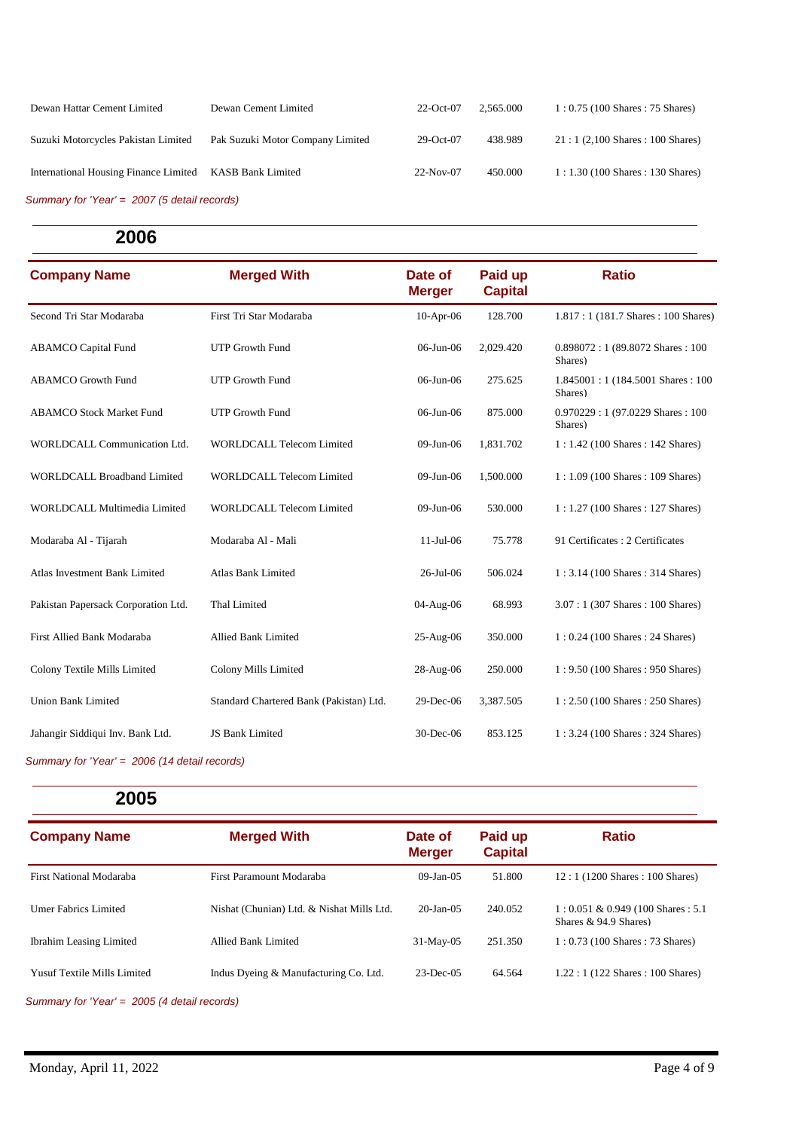| Dewan Hattar Cement Limited                             | Dewan Cement Limited             | $22$ -Oct-07 | 2.565.000 | $1: 0.75$ (100 Shares : 75 Shares)               |
|---------------------------------------------------------|----------------------------------|--------------|-----------|--------------------------------------------------|
| Suzuki Motorcycles Pakistan Limited                     | Pak Suzuki Motor Company Limited | $29-Oct-07$  | 438.989   | $21:1(2,100 \text{ shares}: 100 \text{ shares})$ |
| International Housing Finance Limited KASB Bank Limited |                                  | $22-Nov-07$  | 450.000   | $1:1.30(100 \text{ shares}:130 \text{ shares})$  |
| Summary for 'Year' = 2007 (5 detail records)            |                                  |              |           |                                                  |

| <b>Company Name</b>                 | <b>Merged With</b>                      | Date of<br><b>Merger</b> | Paid up<br><b>Capital</b> | <b>Ratio</b>                                        |
|-------------------------------------|-----------------------------------------|--------------------------|---------------------------|-----------------------------------------------------|
| Second Tri Star Modaraba            | First Tri Star Modaraba                 | $10-Apr-06$              | 128.700                   | 1.817: 1 (181.7 Shares: 100 Shares)                 |
| <b>ABAMCO</b> Capital Fund          | <b>UTP Growth Fund</b>                  | 06-Jun-06                | 2,029.420                 | $0.898072:1(89.8072 \text{ shares}: 100$<br>Shares) |
| <b>ABAMCO</b> Growth Fund           | <b>UTP Growth Fund</b>                  | 06-Jun-06                | 275.625                   | 1.845001:1 (184.5001 Shares: 100)<br>Shares)        |
| <b>ABAMCO Stock Market Fund</b>     | <b>UTP Growth Fund</b>                  | 06-Jun-06                | 875.000                   | 0.970229:1 (97.0229 Shares: 100<br>Shares)          |
| WORLDCALL Communication Ltd.        | <b>WORLDCALL Telecom Limited</b>        | 09-Jun-06                | 1,831.702                 | $1:1.42(100 \text{ shares}:142 \text{ shares})$     |
| <b>WORLDCALL Broadband Limited</b>  | <b>WORLDCALL Telecom Limited</b>        | 09-Jun-06                | 1,500.000                 | $1:1.09(100 \text{ shares}:109 \text{ shares})$     |
| WORLDCALL Multimedia Limited        | <b>WORLDCALL Telecom Limited</b>        | 09-Jun-06                | 530.000                   | $1:1.27(100 \text{ shares}:127 \text{ shares})$     |
| Modaraba Al - Tijarah               | Modaraba Al - Mali                      | $11-Jul-06$              | 75.778                    | 91 Certificates : 2 Certificates                    |
| Atlas Investment Bank Limited       | <b>Atlas Bank Limited</b>               | 26-Jul-06                | 506.024                   | $1:3.14(100 \text{ shares}:314 \text{ shares})$     |
| Pakistan Papersack Corporation Ltd. | Thal Limited                            | 04-Aug-06                | 68.993                    | $3.07:1(307 \text{ shares}:100 \text{ shares})$     |
| First Allied Bank Modaraba          | <b>Allied Bank Limited</b>              | 25-Aug-06                | 350.000                   | $1: 0.24$ (100 Shares: 24 Shares)                   |
| Colony Textile Mills Limited        | Colony Mills Limited                    | $28-Aug-06$              | 250.000                   | 1: 9.50 (100 Shares: 950 Shares)                    |
| <b>Union Bank Limited</b>           | Standard Chartered Bank (Pakistan) Ltd. | 29-Dec-06                | 3,387.505                 | $1:2.50(100 \text{ shares}: 250 \text{ shares})$    |
| Jahangir Siddiqui Inv. Bank Ltd.    | JS Bank Limited                         | 30-Dec-06                | 853.125                   | 1:3.24 (100 Shares: 324 Shares)                     |

*Summary for 'Year' = 2006 (14 detail records)*

**2005**

| <b>Company Name</b>                | <b>Merged With</b>                        | Date of<br><b>Merger</b> | Paid up<br><b>Capital</b> | <b>Ratio</b>                                                     |
|------------------------------------|-------------------------------------------|--------------------------|---------------------------|------------------------------------------------------------------|
| First National Modaraba            | First Paramount Modaraba                  | $09-Jan-05$              | 51.800                    | $12:1(1200 \text{ shares}: 100 \text{ shares})$                  |
| Umer Fabrics Limited               | Nishat (Chunian) Ltd. & Nishat Mills Ltd. | $20 - Jan - 05$          | 240.052                   | $1:0.051 \& 0.949$ (100 Shares : 5.1)<br>Shares $& 94.9$ Shares) |
| Ibrahim Leasing Limited            | Allied Bank Limited                       | $31-May-05$              | 251.350                   | $1: 0.73$ (100 Shares: 73 Shares)                                |
| <b>Yusuf Textile Mills Limited</b> | Indus Dyeing & Manufacturing Co. Ltd.     | $23-Dec-05$              | 64.564                    | $1.22:1(122 \text{ shares}: 100 \text{ shares})$                 |

*Summary for 'Year' = 2005 (4 detail records)*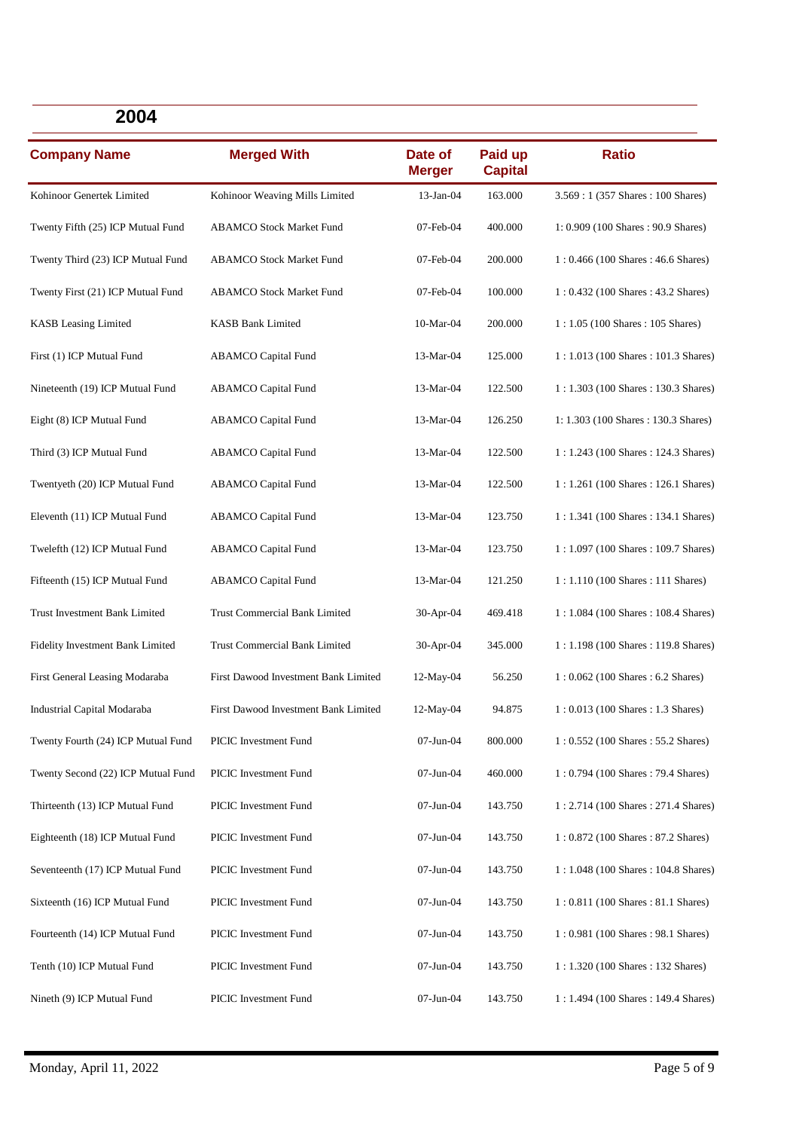| <b>Company Name</b>                  | <b>Merged With</b>                   | Date of<br><b>Merger</b> | Paid up<br><b>Capital</b> | <b>Ratio</b>                                           |
|--------------------------------------|--------------------------------------|--------------------------|---------------------------|--------------------------------------------------------|
| Kohinoor Genertek Limited            | Kohinoor Weaving Mills Limited       | 13-Jan-04                | 163.000                   | 3.569: 1 (357 Shares: 100 Shares)                      |
| Twenty Fifth (25) ICP Mutual Fund    | <b>ABAMCO Stock Market Fund</b>      | 07-Feb-04                | 400.000                   | 1: 0.909 (100 Shares: 90.9 Shares)                     |
| Twenty Third (23) ICP Mutual Fund    | <b>ABAMCO Stock Market Fund</b>      | 07-Feb-04                | 200.000                   | 1:0.466 (100 Shares: 46.6 Shares)                      |
| Twenty First (21) ICP Mutual Fund    | <b>ABAMCO Stock Market Fund</b>      | 07-Feb-04                | 100.000                   | $1: 0.432$ (100 Shares: 43.2 Shares)                   |
| <b>KASB</b> Leasing Limited          | <b>KASB Bank Limited</b>             | 10-Mar-04                | 200.000                   | $1:1.05(100 \text{ shares}:105 \text{ shares})$        |
| First (1) ICP Mutual Fund            | <b>ABAMCO</b> Capital Fund           | 13-Mar-04                | 125.000                   | 1:1.013 (100 Shares: 101.3 Shares)                     |
| Nineteenth (19) ICP Mutual Fund      | <b>ABAMCO</b> Capital Fund           | 13-Mar-04                | 122.500                   | 1: 1.303 (100 Shares: 130.3 Shares)                    |
| Eight (8) ICP Mutual Fund            | <b>ABAMCO</b> Capital Fund           | 13-Mar-04                | 126.250                   | 1: 1.303 (100 Shares: 130.3 Shares)                    |
| Third (3) ICP Mutual Fund            | <b>ABAMCO</b> Capital Fund           | 13-Mar-04                | 122.500                   | 1: 1.243 (100 Shares: 124.3 Shares)                    |
| Twentyeth (20) ICP Mutual Fund       | <b>ABAMCO</b> Capital Fund           | 13-Mar-04                | 122.500                   | $1:1.261(100 \text{ shares}:126.1 \text{ shares})$     |
| Eleventh (11) ICP Mutual Fund        | <b>ABAMCO</b> Capital Fund           | 13-Mar-04                | 123.750                   | 1: 1.341 (100 Shares: 134.1 Shares)                    |
| Twelefth (12) ICP Mutual Fund        | <b>ABAMCO</b> Capital Fund           | 13-Mar-04                | 123.750                   | $1:1.097(100 \text{ shares}:109.7 \text{ shares})$     |
| Fifteenth (15) ICP Mutual Fund       | <b>ABAMCO</b> Capital Fund           | 13-Mar-04                | 121.250                   | 1:1.110 (100 Shares: 111 Shares)                       |
| <b>Trust Investment Bank Limited</b> | <b>Trust Commercial Bank Limited</b> | 30-Apr-04                | 469.418                   | $1:1.084(100 \text{ shares}:108.4 \text{ shares})$     |
| Fidelity Investment Bank Limited     | <b>Trust Commercial Bank Limited</b> | 30-Apr-04                | 345.000                   | 1: 1.198 (100 Shares: 119.8 Shares)                    |
| First General Leasing Modaraba       | First Dawood Investment Bank Limited | 12-May-04                | 56.250                    | $1:0.062(100 \text{ shares}:6.2 \text{ shares})$       |
| Industrial Capital Modaraba          | First Dawood Investment Bank Limited | 12-May-04                | 94.875                    | $1: 0.013$ (100 Shares: 1.3 Shares)                    |
| Twenty Fourth (24) ICP Mutual Fund   | PICIC Investment Fund                | 07-Jun-04                | 800.000                   | $1: 0.552 (100 \text{ shares} : 55.2 \text{ shares})$  |
| Twenty Second (22) ICP Mutual Fund   | PICIC Investment Fund                | 07-Jun-04                | 460.000                   | $1: 0.794 (100 \text{ shares} : 79.4 \text{ shares})$  |
| Thirteenth (13) ICP Mutual Fund      | PICIC Investment Fund                | 07-Jun-04                | 143.750                   | $1: 2.714 (100 \text{ shares} : 271.4 \text{ shares})$ |
| Eighteenth (18) ICP Mutual Fund      | PICIC Investment Fund                | 07-Jun-04                | 143.750                   | $1:0.872(100 \text{ shares}: 87.2 \text{ shares})$     |
| Seventeenth (17) ICP Mutual Fund     | PICIC Investment Fund                | 07-Jun-04                | 143.750                   | $1:1.048(100 \text{ shares}: 104.8 \text{ shares})$    |
| Sixteenth (16) ICP Mutual Fund       | PICIC Investment Fund                | 07-Jun-04                | 143.750                   | 1:0.811 (100 Shares: 81.1 Shares)                      |
| Fourteenth (14) ICP Mutual Fund      | PICIC Investment Fund                | 07-Jun-04                | 143.750                   | $1:0.981(100 \text{ shares}:98.1 \text{ shares})$      |
| Tenth (10) ICP Mutual Fund           | PICIC Investment Fund                | 07-Jun-04                | 143.750                   | $1:1.320(100 \text{ shares}:132 \text{ shares})$       |
| Nineth (9) ICP Mutual Fund           | PICIC Investment Fund                | 07-Jun-04                | 143.750                   | $1:1.494(100 \text{ shares}:149.4 \text{ shares})$     |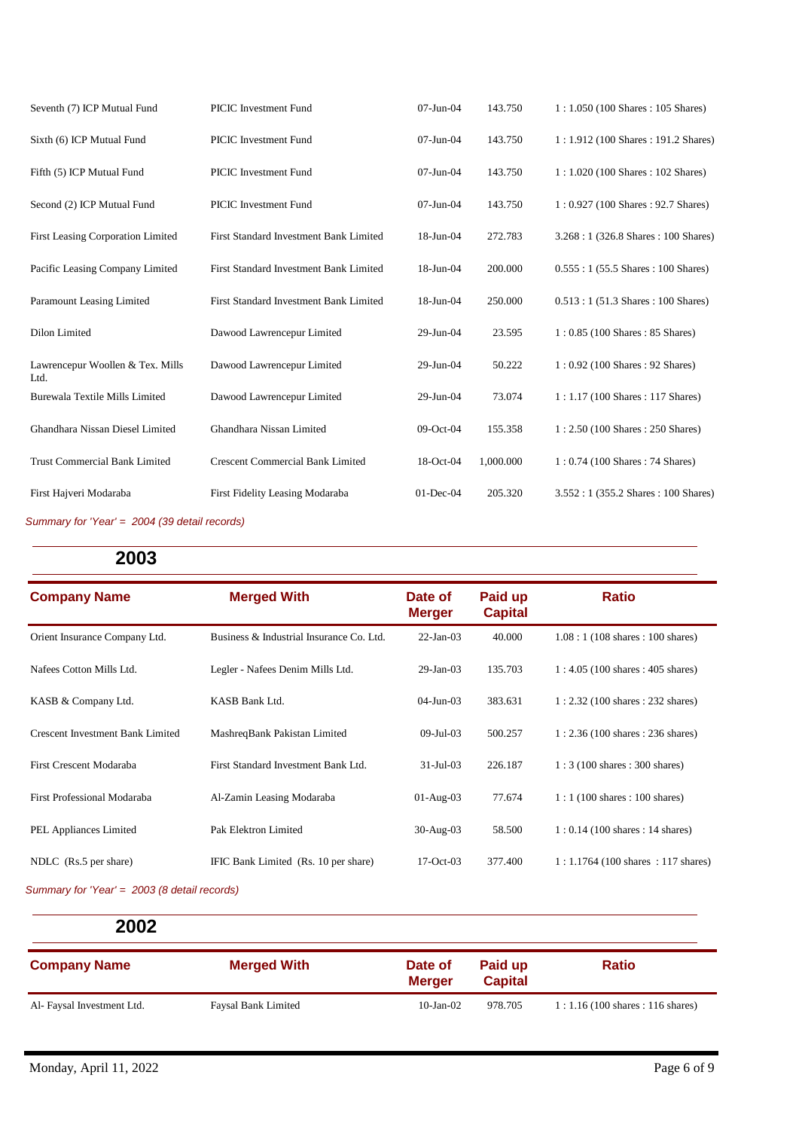| Seventh (7) ICP Mutual Fund              | <b>PICIC</b> Investment Fund            | $07$ -Jun- $04$ | 143.750   | $1:1.050(100 \text{ shares}: 105 \text{ shares})$  |
|------------------------------------------|-----------------------------------------|-----------------|-----------|----------------------------------------------------|
| Sixth (6) ICP Mutual Fund                | <b>PICIC</b> Investment Fund            | 07-Jun-04       | 143.750   | $1:1.912(100 \text{ shares}:191.2 \text{ shares})$ |
| Fifth (5) ICP Mutual Fund                | <b>PICIC</b> Investment Fund            | $07$ -Jun- $04$ | 143.750   | $1:1.020(100 \text{ shares}:102 \text{ shares})$   |
| Second (2) ICP Mutual Fund               | <b>PICIC</b> Investment Fund            | $07$ -Jun- $04$ | 143.750   | $1:0.927(100 \text{ shares}:92.7 \text{ shares})$  |
| First Leasing Corporation Limited        | First Standard Investment Bank Limited  | $18$ -Jun-04    | 272.783   | 3.268 : 1 (326.8 Shares : 100 Shares)              |
| Pacific Leasing Company Limited          | First Standard Investment Bank Limited  | $18$ -Jun-04    | 200.000   | $0.555:1(55.5 \text{ shares}: 100 \text{ shares})$ |
| Paramount Leasing Limited                | First Standard Investment Bank Limited  | $18$ -Jun- $04$ | 250,000   | $0.513:1(51.3 \text{ shares}: 100 \text{ shares})$ |
| Dilon Limited                            | Dawood Lawrencepur Limited              | $29$ -Jun-04    | 23.595    | $1: 0.85$ (100 Shares: 85 Shares)                  |
| Lawrencepur Woollen & Tex. Mills<br>Ltd. | Dawood Lawrencepur Limited              | $29$ -Jun-04    | 50.222    | $1:0.92(100 \text{ shares}:92 \text{ shares})$     |
| Burewala Textile Mills Limited           | Dawood Lawrencepur Limited              | 29-Jun-04       | 73.074    | $1:1.17(100 \text{ shares}:117 \text{ shares})$    |
| Ghandhara Nissan Diesel Limited          | Ghandhara Nissan Limited                | $09-Oct-04$     | 155.358   | $1:2.50(100 \text{ shares}: 250 \text{ shares})$   |
| <b>Trust Commercial Bank Limited</b>     | <b>Crescent Commercial Bank Limited</b> | 18-Oct-04       | 1,000.000 | $1: 0.74$ (100 Shares: 74 Shares)                  |
| First Hajveri Modaraba                   | First Fidelity Leasing Modaraba         | $01$ -Dec-04    | 205.320   | 3.552 : 1 (355.2 Shares : 100 Shares)              |
|                                          |                                         |                 |           |                                                    |

*Summary for 'Year' = 2004 (39 detail records)*

# **2003**

| <b>Company Name</b>                     | <b>Merged With</b>                       | Date of<br><b>Merger</b> | Paid up<br><b>Capital</b> | <b>Ratio</b>                                      |
|-----------------------------------------|------------------------------------------|--------------------------|---------------------------|---------------------------------------------------|
| Orient Insurance Company Ltd.           | Business & Industrial Insurance Co. Ltd. | $22-Ian-03$              | 40.000                    | $1.08:1(108 \text{ shares}:100 \text{ shares})$   |
| Nafees Cotton Mills Ltd.                | Legler - Nafees Denim Mills Ltd.         | $29$ -Jan-03             | 135.703                   | $1:4.05(100 \text{ shares}: 405 \text{ shares})$  |
| KASB & Company Ltd.                     | KASB Bank Ltd.                           | $04$ -Jun- $03$          | 383.631                   | $1:2.32(100 \text{ shares}:232 \text{ shares})$   |
| <b>Crescent Investment Bank Limited</b> | MashreqBank Pakistan Limited             | $09-Jul-03$              | 500.257                   | $1:2.36(100 \text{ shares}:236 \text{ shares})$   |
| First Crescent Modaraba                 | First Standard Investment Bank Ltd.      | $31 - \text{Jul} - 03$   | 226.187                   | $1:3(100 \text{ shares}:300 \text{ shares})$      |
| First Professional Modaraba             | Al-Zamin Leasing Modaraba                | $01-Aug-03$              | 77.674                    | $1:1(100 \text{ shares}:100 \text{ shares})$      |
| <b>PEL Appliances Limited</b>           | Pak Elektron Limited                     | $30-Aug-03$              | 58.500                    | $1: 0.14$ (100 shares : 14 shares)                |
| NDLC (Rs.5 per share)                   | IFIC Bank Limited (Rs. 10 per share)     | $17-Oct-03$              | 377.400                   | $1:1.1764(100 \text{ shares}:117 \text{ shares})$ |

*Summary for 'Year' = 2003 (8 detail records)*

**2002**

| <b>Company Name</b>        | <b>Merged With</b>  | Date of<br>Meraer | Paid up<br><b>Capital</b> | <b>Ratio</b>                                    |
|----------------------------|---------------------|-------------------|---------------------------|-------------------------------------------------|
| Al- Faysal Investment Ltd. | Faysal Bank Limited | $10$ -Jan- $02$   | 978.705                   | $1:1.16(100 \text{ shares}:116 \text{ shares})$ |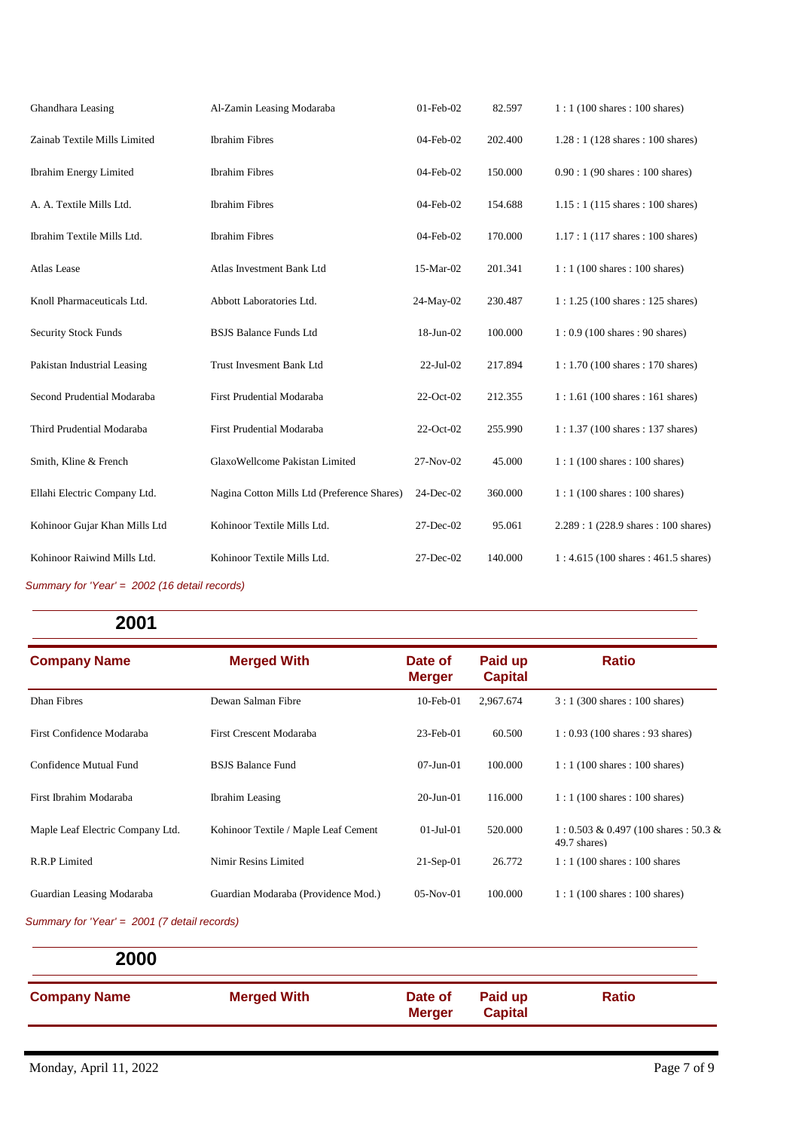| Ghandhara Leasing                             | Al-Zamin Leasing Modaraba                   | $01$ -Feb- $02$ | 82.597  | $1:1(100 \text{ shares}: 100 \text{ shares})$      |
|-----------------------------------------------|---------------------------------------------|-----------------|---------|----------------------------------------------------|
| Zainab Textile Mills Limited                  | <b>Ibrahim Fibres</b>                       | 04-Feb-02       | 202.400 | $1.28:1(128 \text{ shares}:100 \text{ shares})$    |
| <b>Ibrahim Energy Limited</b>                 | <b>Ibrahim Fibres</b>                       | 04-Feb-02       | 150.000 | $0.90:1(90 \text{ shares}:100 \text{ shares})$     |
| A. A. Textile Mills Ltd.                      | <b>Ibrahim Fibres</b>                       | 04-Feb-02       | 154.688 | $1.15:1(115 \text{ shares}: 100 \text{ shares})$   |
| Ibrahim Textile Mills Ltd.                    | <b>Ibrahim Fibres</b>                       | 04-Feb-02       | 170.000 | $1.17:1(117 \text{ shares}: 100 \text{ shares})$   |
| Atlas Lease                                   | Atlas Investment Bank Ltd                   | 15-Mar-02       | 201.341 | $1:1(100 \text{ shares}:100 \text{ shares})$       |
| Knoll Pharmaceuticals Ltd.                    | Abbott Laboratories Ltd.                    | $24-May-02$     | 230.487 | $1:1.25(100 \text{ shares}:125 \text{ shares})$    |
| <b>Security Stock Funds</b>                   | <b>BSJS Balance Funds Ltd</b>               | 18-Jun-02       | 100.000 | $1:0.9(100 \text{ shares}:90 \text{ shares})$      |
| Pakistan Industrial Leasing                   | Trust Invesment Bank Ltd                    | 22-Jul-02       | 217.894 | $1:1.70(100 \text{ shares}: 170 \text{ shares})$   |
| Second Prudential Modaraba                    | First Prudential Modaraba                   | 22-Oct-02       | 212.355 | $1:1.61(100 \text{ shares}:161 \text{ shares})$    |
| Third Prudential Modaraba                     | First Prudential Modaraba                   | 22-Oct-02       | 255.990 | $1:1.37(100 \text{ shares}:137 \text{ shares})$    |
| Smith, Kline & French                         | GlaxoWellcome Pakistan Limited              | 27-Nov-02       | 45.000  | $1:1(100 \text{ shares}:100 \text{ shares})$       |
| Ellahi Electric Company Ltd.                  | Nagina Cotton Mills Ltd (Preference Shares) | 24-Dec-02       | 360.000 | $1:1(100 \text{ shares}:100 \text{ shares})$       |
| Kohinoor Gujar Khan Mills Ltd                 | Kohinoor Textile Mills Ltd.                 | 27-Dec-02       | 95.061  | 2.289:1 (228.9 shares: 100 shares)                 |
| Kohinoor Raiwind Mills Ltd.                   | Kohinoor Textile Mills Ltd.                 | 27-Dec-02       | 140.000 | $1:4.615(100 \text{ shares}:461.5 \text{ shares})$ |
| Summary for 'Year' = 2002 (16 detail records) |                                             |                 |         |                                                    |

| <b>Company Name</b>              | <b>Merged With</b>                   | Date of<br><b>Merger</b> | Paid up<br><b>Capital</b> | <b>Ratio</b>                                              |
|----------------------------------|--------------------------------------|--------------------------|---------------------------|-----------------------------------------------------------|
| <b>Dhan Fibres</b>               | Dewan Salman Fibre                   | $10$ -Feb- $01$          | 2,967.674                 | $3:1(300 \text{ shares}:100 \text{ shares})$              |
| First Confidence Modaraba        | First Crescent Modaraba              | $23$ -Feb-01             | 60.500                    | $1: 0.93$ (100 shares : 93 shares)                        |
| Confidence Mutual Fund           | <b>BSJS Balance Fund</b>             | $07 - Jun - 01$          | 100.000                   | $1:1(100 \text{ shares}:100 \text{ shares})$              |
| First Ibrahim Modaraba           | Ibrahim Leasing                      | $20 - Jun - 01$          | 116.000                   | $1:1(100 \text{ shares}:100 \text{ shares})$              |
| Maple Leaf Electric Company Ltd. | Kohinoor Textile / Maple Leaf Cement | $01$ -Jul- $01$          | 520,000                   | $1: 0.503 \& 0.497$ (100 shares: 50.3 &<br>$49.7$ shares) |
| R.R.P Limited                    | Nimir Resins Limited                 | $21-Sep-01$              | 26.772                    | $1:1(100 \text{ shares}:100 \text{ shares})$              |
| Guardian Leasing Modaraba        | Guardian Modaraba (Providence Mod.)  | $05-Nov-01$              | 100.000                   | $1:1(100 \text{ shares}:100 \text{ shares})$              |

*Summary for 'Year' = 2001 (7 detail records)*

**2000 Company Name Merged With Date of Merger Paid up Capital Ratio**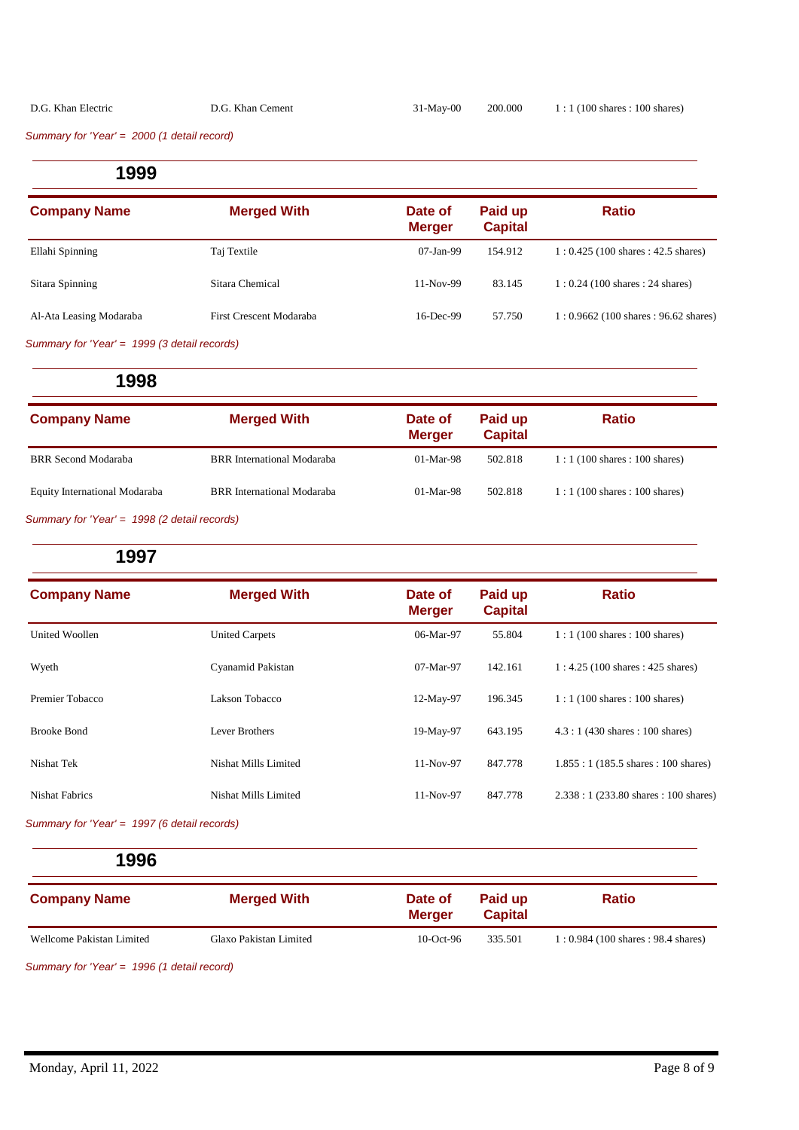*Summary for 'Year' = 2000 (1 detail record)*

**1999**

| <b>Merged With</b>      | Date of<br><b>Merger</b> | Paid up<br><b>Capital</b> | <b>Ratio</b>                                        |
|-------------------------|--------------------------|---------------------------|-----------------------------------------------------|
| Taj Textile             | 07-Jan-99                | 154.912                   | $1: 0.425$ (100 shares : 42.5 shares)               |
| Sitara Chemical         | 11-Nov-99                | 83.145                    | $1: 0.24$ (100 shares : 24 shares)                  |
| First Crescent Modaraba | 16-Dec-99                | 57.750                    | $1:0.9662(100 \text{ shares}:96.62 \text{ shares})$ |
|                         |                          |                           |                                                     |

*Summary for 'Year' = 1999 (3 detail records)*

| 1998                          |                                   |                          |                           |                                               |
|-------------------------------|-----------------------------------|--------------------------|---------------------------|-----------------------------------------------|
| <b>Company Name</b>           | <b>Merged With</b>                | Date of<br><b>Merger</b> | Paid up<br><b>Capital</b> | <b>Ratio</b>                                  |
| BRR Second Modaraba           | <b>BRR</b> International Modaraba | $01-Mar-98$              | 502.818                   | $1:1(100 \text{ shares}:100 \text{ shares})$  |
| Equity International Modaraba | <b>BRR</b> International Modaraba | $01-Mar-98$              | 502.818                   | $1:1(100 \text{ shares}: 100 \text{ shares})$ |

*Summary for 'Year' = 1998 (2 detail records)*

**1997**

| <b>Company Name</b>   | <b>Merged With</b>    | Date of<br><b>Merger</b> | Paid up<br><b>Capital</b> | <b>Ratio</b>                                         |
|-----------------------|-----------------------|--------------------------|---------------------------|------------------------------------------------------|
| United Woollen        | <b>United Carpets</b> | 06-Mar-97                | 55.804                    | $1:1(100 \text{ shares}:100 \text{ shares})$         |
| Wyeth                 | Cyanamid Pakistan     | 07-Mar-97                | 142.161                   | $1:4.25(100 \text{ shares}: 425 \text{ shares})$     |
| Premier Tobacco       | Lakson Tobacco        | 12-May-97                | 196.345                   | $1:1(100 \text{ shares}:100 \text{ shares})$         |
| <b>Brooke Bond</b>    | Lever Brothers        | 19-May-97                | 643.195                   | $4.3:1(430 \text{ shares}: 100 \text{ shares})$      |
| Nishat Tek            | Nishat Mills Limited  | $11-Nov-97$              | 847.778                   | $1.855:1(185.5 \text{ shares}: 100 \text{ shares})$  |
| <b>Nishat Fabrics</b> | Nishat Mills Limited  | $11-Nov-97$              | 847.778                   | $2.338:1(233.80 \text{ shares}: 100 \text{ shares})$ |
|                       |                       |                          |                           |                                                      |

*Summary for 'Year' = 1997 (6 detail records)*

**1996**

| <b>Company Name</b>       | <b>Merged With</b>     | Date of<br>Meraer | Paid up<br><b>Capital</b> | <b>Ratio</b>                                       |
|---------------------------|------------------------|-------------------|---------------------------|----------------------------------------------------|
| Wellcome Pakistan Limited | Glaxo Pakistan Limited | $10$ -Oct-96      | 335.501                   | $1:0.984(100 \text{ shares}: 98.4 \text{ shares})$ |

*Summary for 'Year' = 1996 (1 detail record)*